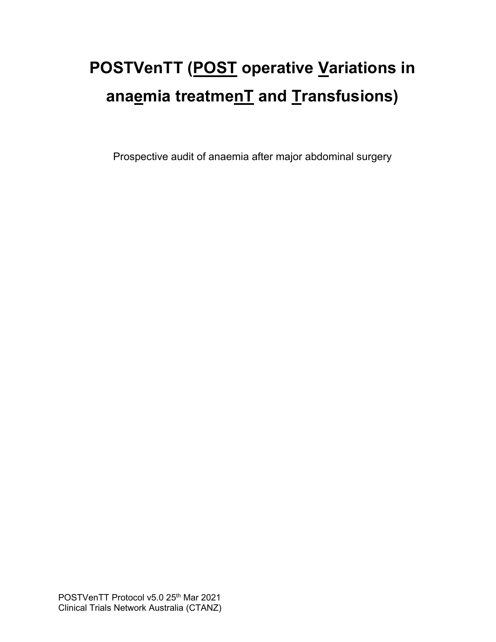# **POSTVenTT (POST operative Variations in anaemia treatmenT and Transfusions)**

Prospective audit of anaemia after major abdominal surgery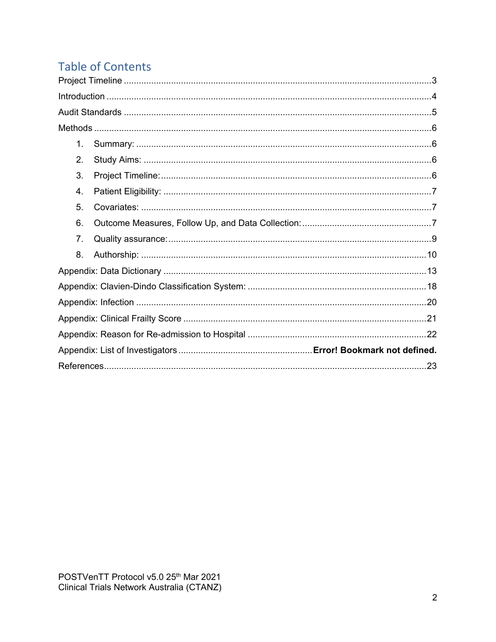## **Table of Contents**

| 1. |  |  |
|----|--|--|
| 2. |  |  |
| 3. |  |  |
| 4. |  |  |
| 5. |  |  |
| 6. |  |  |
| 7. |  |  |
| 8. |  |  |
|    |  |  |
|    |  |  |
|    |  |  |
|    |  |  |
|    |  |  |
|    |  |  |
| 23 |  |  |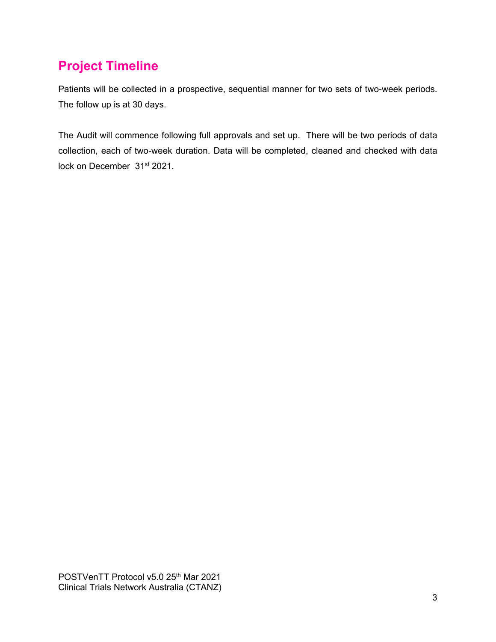## <span id="page-2-0"></span>**Project Timeline**

Patients will be collected in a prospective, sequential manner for two sets of two-week periods. The follow up is at 30 days.

The Audit will commence following full approvals and set up. There will be two periods of data collection, each of two-week duration. Data will be completed, cleaned and checked with data lock on December 31<sup>st</sup> 2021.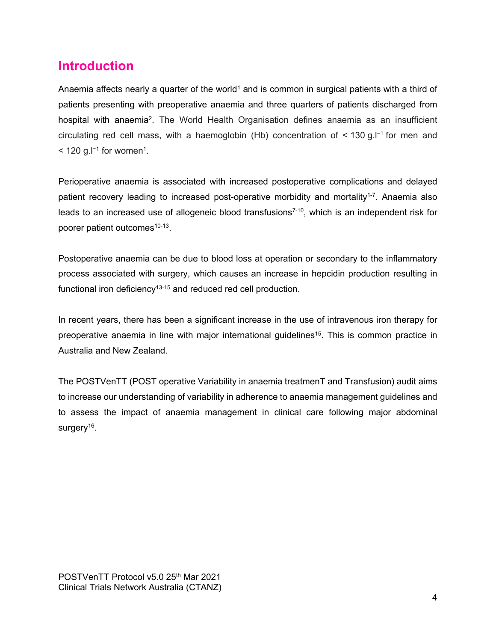### <span id="page-3-0"></span>**Introduction**

Anaemia affects nearly a quarter of the world<sup>1</sup> and is common in surgical patients with a third of patients presenting with preoperative anaemia and three quarters of patients discharged from hospital with anaemia<sup>2</sup>. The World Health Organisation defines anaemia as an insufficient circulating red cell mass, with a haemoglobin (Hb) concentration of < 130 g.l−1 for men and  $\leq$  120 g.l<sup>-1</sup> for women<sup>1</sup>.

Perioperative anaemia is associated with increased postoperative complications and delayed patient recovery leading to increased post-operative morbidity and mortality<sup>1-7</sup>. Anaemia also leads to an increased use of allogeneic blood transfusions<sup> $7-10$ </sup>, which is an independent risk for poorer patient outcomes<sup>10-13</sup>.

Postoperative anaemia can be due to blood loss at operation or secondary to the inflammatory process associated with surgery, which causes an increase in hepcidin production resulting in functional iron deficiency<sup>13-15</sup> and reduced red cell production.

In recent years, there has been a significant increase in the use of intravenous iron therapy for preoperative anaemia in line with major international guidelines<sup>15</sup>. This is common practice in Australia and New Zealand.

The POSTVenTT (POST operative Variability in anaemia treatmenT and Transfusion) audit aims to increase our understanding of variability in adherence to anaemia management guidelines and to assess the impact of anaemia management in clinical care following major abdominal surgery<sup>16</sup>.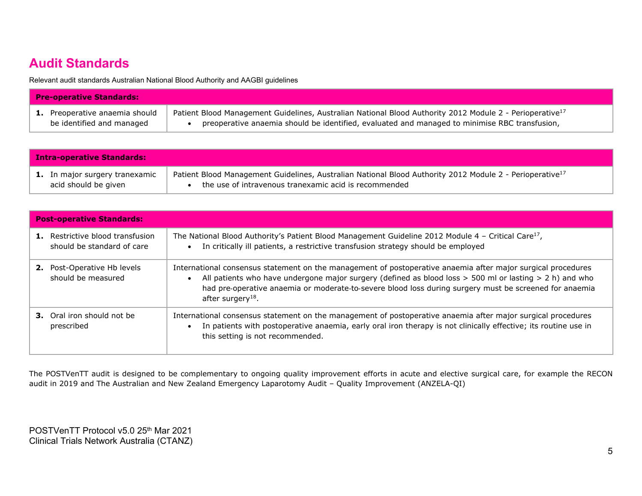## **Audit Standards**

Relevant audit standards Australian National Blood Authority and AAGBI guidelines

| <b>Pre-operative Standards:</b> |                                                                                                                      |  |  |
|---------------------------------|----------------------------------------------------------------------------------------------------------------------|--|--|
| Preoperative anaemia should     | Patient Blood Management Guidelines, Australian National Blood Authority 2012 Module 2 - Perioperative <sup>17</sup> |  |  |
| be identified and managed       | preoperative anaemia should be identified, evaluated and managed to minimise RBC transfusion,                        |  |  |

| <b>Intra-operative Standards:</b>     |                                                                                                                      |  |
|---------------------------------------|----------------------------------------------------------------------------------------------------------------------|--|
| <b>1.</b> In major surgery tranexamic | Patient Blood Management Guidelines, Australian National Blood Authority 2012 Module 2 - Perioperative <sup>17</sup> |  |
| acid should be given                  | the use of intravenous tranexamic acid is recommended                                                                |  |

<span id="page-4-0"></span>

| <b>Post-operative Standards:</b>                               |                                                                                                                                                                                                                                                                                                                                                                                     |  |  |
|----------------------------------------------------------------|-------------------------------------------------------------------------------------------------------------------------------------------------------------------------------------------------------------------------------------------------------------------------------------------------------------------------------------------------------------------------------------|--|--|
| 1. Restrictive blood transfusion<br>should be standard of care | The National Blood Authority's Patient Blood Management Guideline 2012 Module 4 - Critical Care <sup>17</sup> ,<br>In critically ill patients, a restrictive transfusion strategy should be employed<br>$\bullet$                                                                                                                                                                   |  |  |
| Post-Operative Hb levels<br>2.<br>should be measured           | International consensus statement on the management of postoperative anaemia after major surgical procedures<br>All patients who have undergone major surgery (defined as blood loss $>$ 500 ml or lasting $>$ 2 h) and who<br>$\bullet$<br>had pre-operative anaemia or moderate-to-severe blood loss during surgery must be screened for anaemia<br>after surgery <sup>18</sup> . |  |  |
| <b>3.</b> Oral iron should not be<br>prescribed                | International consensus statement on the management of postoperative anaemia after major surgical procedures<br>In patients with postoperative anaemia, early oral iron therapy is not clinically effective; its routine use in<br>$\bullet$<br>this setting is not recommended.                                                                                                    |  |  |

The POSTVenTT audit is designed to be complementary to ongoing quality improvement efforts in acute and elective surgical care, for example the RECON audit in 2019 and The Australian and New Zealand Emergency Laparotomy Audit – Quality Improvement (ANZELA-QI)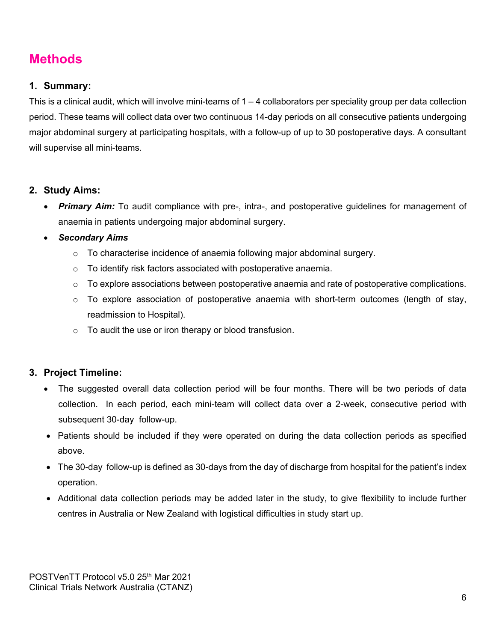## <span id="page-5-0"></span>**Methods**

#### <span id="page-5-1"></span>**1. Summary:**

This is a clinical audit, which will involve mini-teams of  $1 - 4$  collaborators per speciality group per data collection period. These teams will collect data over two continuous 14-day periods on all consecutive patients undergoing major abdominal surgery at participating hospitals, with a follow-up of up to 30 postoperative days. A consultant will supervise all mini-teams.

#### <span id="page-5-2"></span>**2. Study Aims:**

• *Primary Aim:* To audit compliance with pre-, intra-, and postoperative guidelines for management of anaemia in patients undergoing major abdominal surgery.

#### • *Secondary Aims*

- $\circ$  To characterise incidence of anaemia following major abdominal surgery.
- $\circ$  To identify risk factors associated with postoperative anaemia.
- $\circ$  To explore associations between postoperative anaemia and rate of postoperative complications.
- $\circ$  To explore association of postoperative anaemia with short-term outcomes (length of stay, readmission to Hospital).
- $\circ$  To audit the use or iron therapy or blood transfusion.

#### <span id="page-5-3"></span>**3. Project Timeline:**

- The suggested overall data collection period will be four months. There will be two periods of data collection. In each period, each mini-team will collect data over a 2-week, consecutive period with subsequent 30-day follow-up.
- Patients should be included if they were operated on during the data collection periods as specified above.
- The 30-day follow-up is defined as 30-days from the day of discharge from hospital for the patient's index operation.
- Additional data collection periods may be added later in the study, to give flexibility to include further centres in Australia or New Zealand with logistical difficulties in study start up.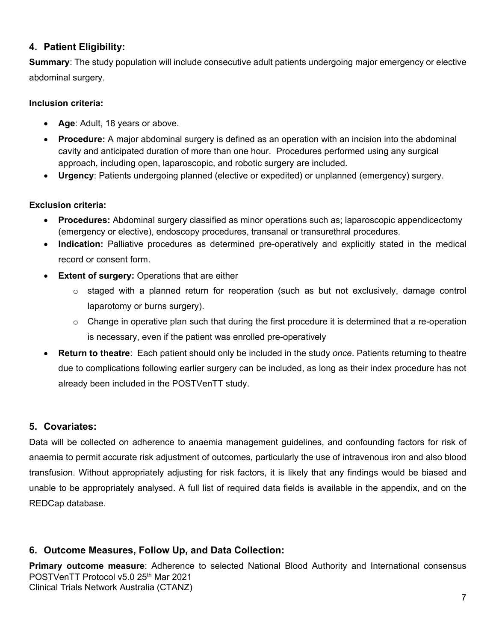#### <span id="page-6-0"></span>**4. Patient Eligibility:**

**Summary**: The study population will include consecutive adult patients undergoing major emergency or elective abdominal surgery.

#### **Inclusion criteria:**

- **Age**: Adult, 18 years or above.
- **Procedure:** A major abdominal surgery is defined as an operation with an incision into the abdominal cavity and anticipated duration of more than one hour. Procedures performed using any surgical approach, including open, laparoscopic, and robotic surgery are included.
- **Urgency**: Patients undergoing planned (elective or expedited) or unplanned (emergency) surgery.

#### **Exclusion criteria:**

- **Procedures:** Abdominal surgery classified as minor operations such as; laparoscopic appendicectomy (emergency or elective), endoscopy procedures, transanal or transurethral procedures.
- **Indication:** Palliative procedures as determined pre-operatively and explicitly stated in the medical record or consent form.
- **Extent of surgery:** Operations that are either
	- $\circ$  staged with a planned return for reoperation (such as but not exclusively, damage control laparotomy or burns surgery).
	- $\circ$  Change in operative plan such that during the first procedure it is determined that a re-operation is necessary, even if the patient was enrolled pre-operatively
- **Return to theatre**: Each patient should only be included in the study *once*. Patients returning to theatre due to complications following earlier surgery can be included, as long as their index procedure has not already been included in the POSTVenTT study.

#### <span id="page-6-1"></span>**5. Covariates:**

Data will be collected on adherence to anaemia management guidelines, and confounding factors for risk of anaemia to permit accurate risk adjustment of outcomes, particularly the use of intravenous iron and also blood transfusion. Without appropriately adjusting for risk factors, it is likely that any findings would be biased and unable to be appropriately analysed. A full list of required data fields is available in the appendix, and on the REDCap database.

#### <span id="page-6-2"></span>**6. Outcome Measures, Follow Up, and Data Collection:**

POSTVenTT Protocol v5.0 25<sup>th</sup> Mar 2021 Clinical Trials Network Australia (CTANZ) **Primary outcome measure**: Adherence to selected National Blood Authority and International consensus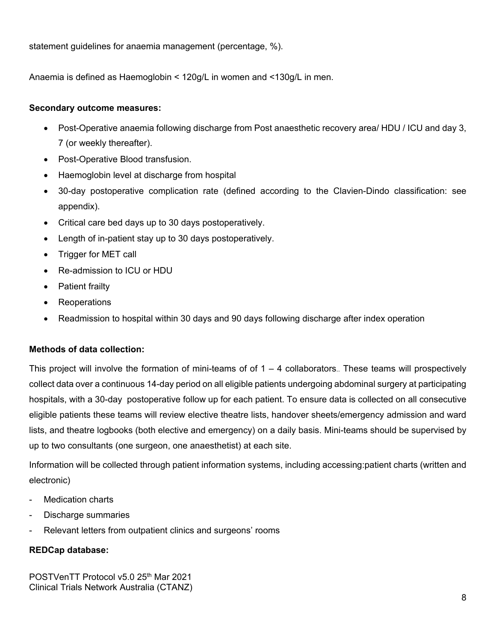statement guidelines for anaemia management (percentage, %).

Anaemia is defined as Haemoglobin < 120g/L in women and <130g/L in men.

#### **Secondary outcome measures:**

- Post-Operative anaemia following discharge from Post anaesthetic recovery area/ HDU / ICU and day 3, 7 (or weekly thereafter).
- Post-Operative Blood transfusion.
- Haemoglobin level at discharge from hospital
- 30-day postoperative complication rate (defined according to the Clavien-Dindo classification: see appendix).
- Critical care bed days up to 30 days postoperatively.
- Length of in-patient stay up to 30 days postoperatively.
- Trigger for MET call
- Re-admission to ICU or HDU
- Patient frailty
- **Reoperations**
- Readmission to hospital within 30 days and 90 days following discharge after index operation

#### **Methods of data collection:**

This project will involve the formation of mini-teams of of  $1 - 4$  collaborators. These teams will prospectively collect data over a continuous 14-day period on all eligible patients undergoing abdominal surgery at participating hospitals, with a 30-day postoperative follow up for each patient. To ensure data is collected on all consecutive eligible patients these teams will review elective theatre lists, handover sheets/emergency admission and ward lists, and theatre logbooks (both elective and emergency) on a daily basis. Mini-teams should be supervised by up to two consultants (one surgeon, one anaesthetist) at each site.

Information will be collected through patient information systems, including accessing:patient charts (written and electronic)

- Medication charts
- Discharge summaries
- Relevant letters from outpatient clinics and surgeons' rooms

#### **REDCap database:**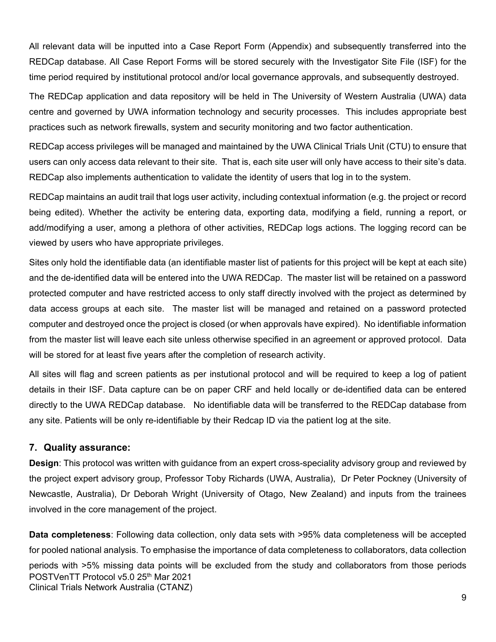All relevant data will be inputted into a Case Report Form (Appendix) and subsequently transferred into the REDCap database. All Case Report Forms will be stored securely with the Investigator Site File (ISF) for the time period required by institutional protocol and/or local governance approvals, and subsequently destroyed.

The REDCap application and data repository will be held in The University of Western Australia (UWA) data centre and governed by UWA information technology and security processes. This includes appropriate best practices such as network firewalls, system and security monitoring and two factor authentication.

REDCap access privileges will be managed and maintained by the UWA Clinical Trials Unit (CTU) to ensure that users can only access data relevant to their site. That is, each site user will only have access to their site's data. REDCap also implements authentication to validate the identity of users that log in to the system.

REDCap maintains an audit trail that logs user activity, including contextual information (e.g. the project or record being edited). Whether the activity be entering data, exporting data, modifying a field, running a report, or add/modifying a user, among a plethora of other activities, REDCap logs actions. The logging record can be viewed by users who have appropriate privileges.

Sites only hold the identifiable data (an identifiable master list of patients for this project will be kept at each site) and the de-identified data will be entered into the UWA REDCap. The master list will be retained on a password protected computer and have restricted access to only staff directly involved with the project as determined by data access groups at each site. The master list will be managed and retained on a password protected computer and destroyed once the project is closed (or when approvals have expired). No identifiable information from the master list will leave each site unless otherwise specified in an agreement or approved protocol. Data will be stored for at least five years after the completion of research activity.

All sites will flag and screen patients as per instutional protocol and will be required to keep a log of patient details in their ISF. Data capture can be on paper CRF and held locally or de-identified data can be entered directly to the UWA REDCap database. No identifiable data will be transferred to the REDCap database from any site. Patients will be only re-identifiable by their Redcap ID via the patient log at the site.

#### <span id="page-8-0"></span>**7. Quality assurance:**

**Design**: This protocol was written with guidance from an expert cross-speciality advisory group and reviewed by the project expert advisory group, Professor Toby Richards (UWA, Australia), Dr Peter Pockney (University of Newcastle, Australia), Dr Deborah Wright (University of Otago, New Zealand) and inputs from the trainees involved in the core management of the project.

POSTVenTT Protocol v5.0 25<sup>th</sup> Mar 2021 Clinical Trials Network Australia (CTANZ) **Data completeness**: Following data collection, only data sets with >95% data completeness will be accepted for pooled national analysis. To emphasise the importance of data completeness to collaborators, data collection periods with >5% missing data points will be excluded from the study and collaborators from those periods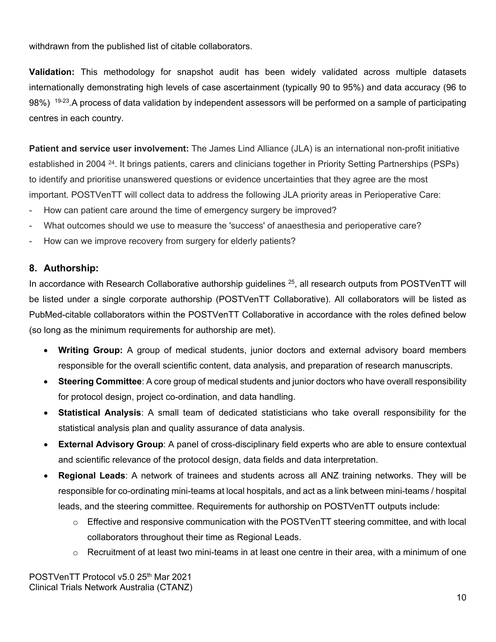withdrawn from the published list of citable collaborators.

**Validation:** This methodology for snapshot audit has been widely validated across multiple datasets internationally demonstrating high levels of case ascertainment (typically 90 to 95%) and data accuracy (96 to 98%) <sup>19-23</sup>. A process of data validation by independent assessors will be performed on a sample of participating centres in each country.

**Patient and service user involvement:** The James Lind Alliance (JLA) is an international non-profit initiative established in 2004 24. It brings patients, carers and clinicians together in Priority Setting Partnerships (PSPs) to identify and prioritise unanswered questions or evidence uncertainties that they agree are the most important. POSTVenTT will collect data to address the following JLA priority areas in Perioperative Care:

- How can patient care around the time of emergency surgery be improved?
- What outcomes should we use to measure the 'success' of anaesthesia and perioperative care?
- How can we improve recovery from surgery for elderly patients?

#### <span id="page-9-0"></span>**8. Authorship:**

In accordance with Research Collaborative authorship guidelines  $25$ , all research outputs from POSTVenTT will be listed under a single corporate authorship (POSTVenTT Collaborative). All collaborators will be listed as PubMed-citable collaborators within the POSTVenTT Collaborative in accordance with the roles defined below (so long as the minimum requirements for authorship are met).

- **Writing Group:** A group of medical students, junior doctors and external advisory board members responsible for the overall scientific content, data analysis, and preparation of research manuscripts.
- **Steering Committee**: A core group of medical students and junior doctors who have overall responsibility for protocol design, project co-ordination, and data handling.
- **Statistical Analysis**: A small team of dedicated statisticians who take overall responsibility for the statistical analysis plan and quality assurance of data analysis.
- **External Advisory Group**: A panel of cross-disciplinary field experts who are able to ensure contextual and scientific relevance of the protocol design, data fields and data interpretation.
- **Regional Leads**: A network of trainees and students across all ANZ training networks. They will be responsible for co-ordinating mini-teams at local hospitals, and act as a link between mini-teams / hospital leads, and the steering committee. Requirements for authorship on POSTVenTT outputs include:
	- $\circ$  Effective and responsive communication with the POSTVenTT steering committee, and with local collaborators throughout their time as Regional Leads.
	- $\circ$  Recruitment of at least two mini-teams in at least one centre in their area, with a minimum of one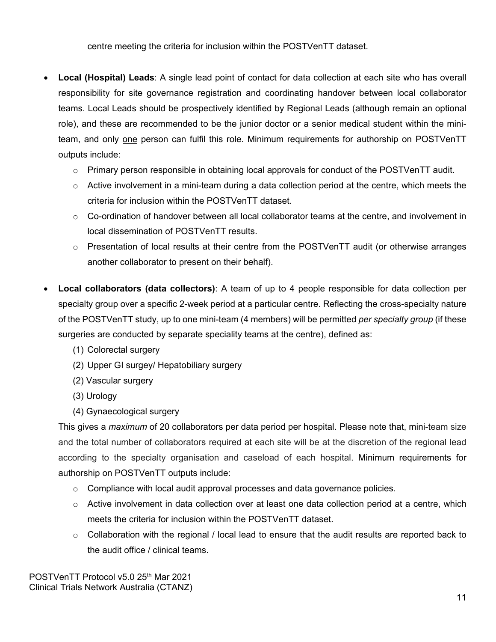centre meeting the criteria for inclusion within the POSTVenTT dataset.

- **Local (Hospital) Leads**: A single lead point of contact for data collection at each site who has overall responsibility for site governance registration and coordinating handover between local collaborator teams. Local Leads should be prospectively identified by Regional Leads (although remain an optional role), and these are recommended to be the junior doctor or a senior medical student within the miniteam, and only one person can fulfil this role. Minimum requirements for authorship on POSTVenTT outputs include:
	- $\circ$  Primary person responsible in obtaining local approvals for conduct of the POSTVenTT audit.
	- $\circ$  Active involvement in a mini-team during a data collection period at the centre, which meets the criteria for inclusion within the POSTVenTT dataset.
	- $\circ$  Co-ordination of handover between all local collaborator teams at the centre, and involvement in local dissemination of POSTVenTT results.
	- $\circ$  Presentation of local results at their centre from the POSTVenTT audit (or otherwise arranges another collaborator to present on their behalf).
- **Local collaborators (data collectors)**: A team of up to 4 people responsible for data collection per specialty group over a specific 2-week period at a particular centre. Reflecting the cross-specialty nature of the POSTVenTT study, up to one mini-team (4 members) will be permitted *per specialty group* (if these surgeries are conducted by separate speciality teams at the centre), defined as:
	- (1) Colorectal surgery
	- (2) Upper GI surgey/ Hepatobiliary surgery
	- (2) Vascular surgery
	- (3) Urology
	- (4) Gynaecological surgery

This gives a *maximum* of 20 collaborators per data period per hospital. Please note that, mini-team size and the total number of collaborators required at each site will be at the discretion of the regional lead according to the specialty organisation and caseload of each hospital. Minimum requirements for authorship on POSTVenTT outputs include:

- $\circ$  Compliance with local audit approval processes and data governance policies.
- $\circ$  Active involvement in data collection over at least one data collection period at a centre, which meets the criteria for inclusion within the POSTVenTT dataset.
- $\circ$  Collaboration with the regional / local lead to ensure that the audit results are reported back to the audit office / clinical teams.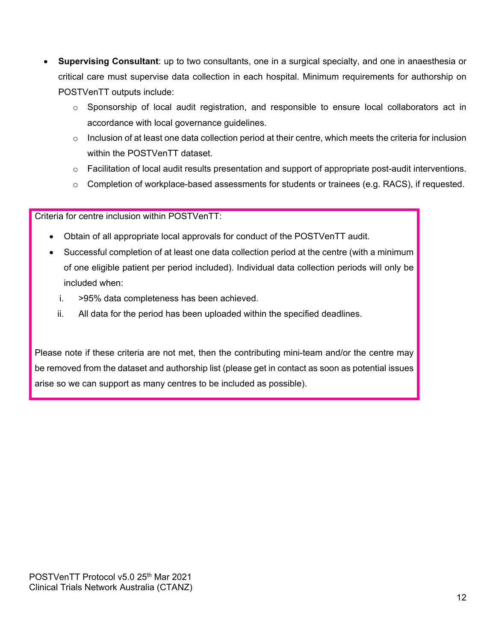- **Supervising Consultant**: up to two consultants, one in a surgical specialty, and one in anaesthesia or critical care must supervise data collection in each hospital. Minimum requirements for authorship on POSTVenTT outputs include:
	- $\circ$  Sponsorship of local audit registration, and responsible to ensure local collaborators act in accordance with local governance guidelines.
	- o Inclusion of at least one data collection period at their centre, which meets the criteria for inclusion within the POSTVenTT dataset.
	- $\circ$  Facilitation of local audit results presentation and support of appropriate post-audit interventions.
	- $\circ$  Completion of workplace-based assessments for students or trainees (e.g. RACS), if requested.

Criteria for centre inclusion within POSTVenTT:

- Obtain of all appropriate local approvals for conduct of the POSTVenTT audit.
- Successful completion of at least one data collection period at the centre (with a minimum of one eligible patient per period included). Individual data collection periods will only be included when:
	- i. >95% data completeness has been achieved.
	- ii. All data for the period has been uploaded within the specified deadlines.

Please note if these criteria are not met, then the contributing mini-team and/or the centre may be removed from the dataset and authorship list (please get in contact as soon as potential issues arise so we can support as many centres to be included as possible).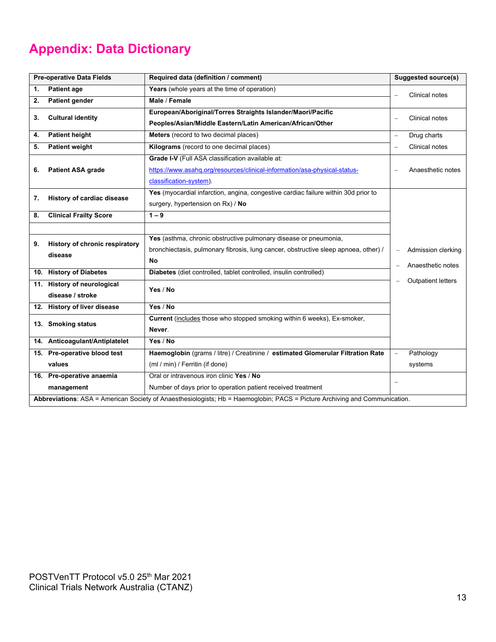## <span id="page-12-0"></span>**Appendix: Data Dictionary**

| <b>Pre-operative Data Fields</b>                                                                                           |                                | Required data (definition / comment)                                                |                          | <b>Suggested source(s)</b> |
|----------------------------------------------------------------------------------------------------------------------------|--------------------------------|-------------------------------------------------------------------------------------|--------------------------|----------------------------|
| <b>Patient age</b><br>1.                                                                                                   |                                | Years (whole years at the time of operation)                                        |                          | <b>Clinical notes</b>      |
| 2.                                                                                                                         | <b>Patient gender</b>          | Male / Female                                                                       |                          |                            |
| 3.                                                                                                                         | <b>Cultural identity</b>       | European/Aboriginal/Torres Straights Islander/Maori/Pacific                         |                          | Clinical notes             |
|                                                                                                                            |                                | Peoples/Asian/Middle Eastern/Latin American/African/Other                           |                          |                            |
| 4.                                                                                                                         | <b>Patient height</b>          | <b>Meters</b> (record to two decimal places)                                        | L,                       | Drug charts                |
| 5.                                                                                                                         | <b>Patient weight</b>          | Kilograms (record to one decimal places)                                            | $\overline{\phantom{0}}$ | <b>Clinical notes</b>      |
|                                                                                                                            |                                | Grade I-V (Full ASA classification available at:                                    |                          |                            |
| 6.                                                                                                                         | <b>Patient ASA grade</b>       | https://www.asahq.org/resources/clinical-information/asa-physical-status-           |                          | Anaesthetic notes          |
|                                                                                                                            |                                | classification-system).                                                             |                          |                            |
| 7.                                                                                                                         | History of cardiac disease     | Yes (myocardial infarction, angina, congestive cardiac failure within 30d prior to  |                          |                            |
|                                                                                                                            |                                | surgery, hypertension on Rx) / No                                                   |                          |                            |
| 8.                                                                                                                         | <b>Clinical Frailty Score</b>  | $1 - 9$                                                                             |                          |                            |
|                                                                                                                            |                                |                                                                                     |                          |                            |
| 9.                                                                                                                         | History of chronic respiratory | Yes (asthma, chronic obstructive pulmonary disease or pneumonia,                    |                          |                            |
|                                                                                                                            | disease                        | bronchiectasis, pulmonary fibrosis, lung cancer, obstructive sleep apnoea, other) / |                          | Admission clerking         |
|                                                                                                                            |                                | No                                                                                  |                          | Anaesthetic notes          |
|                                                                                                                            | 10. History of Diabetes        | Diabetes (diet controlled, tablet controlled, insulin controlled)                   |                          |                            |
|                                                                                                                            | 11. History of neurological    | Yes / No                                                                            |                          | <b>Outpatient letters</b>  |
|                                                                                                                            | disease / stroke               |                                                                                     |                          |                            |
|                                                                                                                            | 12. History of liver disease   | Yes / No                                                                            |                          |                            |
|                                                                                                                            | 13. Smoking status             | Current (includes those who stopped smoking within 6 weeks), Ex-smoker,             |                          |                            |
|                                                                                                                            |                                | Never.                                                                              |                          |                            |
|                                                                                                                            | 14. Anticoagulant/Antiplatelet | Yes / No                                                                            |                          |                            |
|                                                                                                                            | 15. Pre-operative blood test   | Haemoglobin (grams / litre) / Creatinine / estimated Glomerular Filtration Rate     |                          | Pathology                  |
|                                                                                                                            | values                         | (ml / min) / Ferritin (if done)                                                     |                          | systems                    |
|                                                                                                                            | 16. Pre-operative anaemia      | Oral or intravenous iron clinic Yes / No                                            |                          |                            |
|                                                                                                                            | management                     | Number of days prior to operation patient received treatment                        |                          |                            |
| Abbreviations: ASA = American Society of Anaesthesiologists; Hb = Haemoglobin; PACS = Picture Archiving and Communication. |                                |                                                                                     |                          |                            |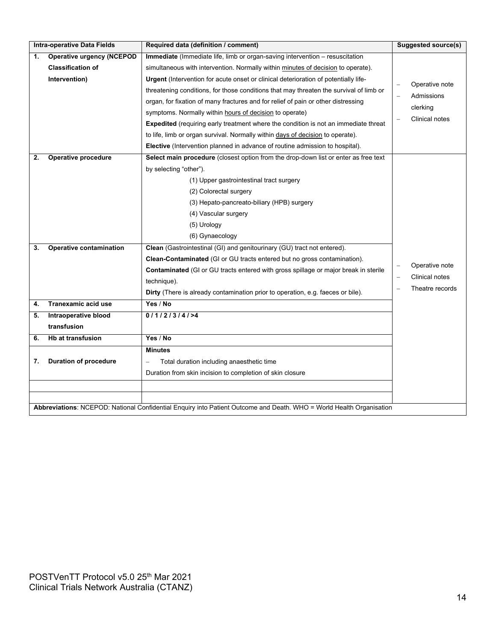| <b>Intra-operative Data Fields</b> |                                                                                                                      | Required data (definition / comment)                                                       | <b>Suggested source(s)</b> |
|------------------------------------|----------------------------------------------------------------------------------------------------------------------|--------------------------------------------------------------------------------------------|----------------------------|
| 1.                                 | <b>Operative urgency (NCEPOD</b>                                                                                     | Immediate (Immediate life, limb or organ-saving intervention - resuscitation               |                            |
|                                    | <b>Classification of</b>                                                                                             | simultaneous with intervention. Normally within minutes of decision to operate).           |                            |
|                                    | Intervention)                                                                                                        | Urgent (Intervention for acute onset or clinical deterioration of potentially life-        | Operative note             |
|                                    |                                                                                                                      | threatening conditions, for those conditions that may threaten the survival of limb or     | Admissions                 |
|                                    |                                                                                                                      | organ, for fixation of many fractures and for relief of pain or other distressing          | clerking                   |
|                                    |                                                                                                                      | symptoms. Normally within hours of decision to operate)                                    |                            |
|                                    |                                                                                                                      | <b>Expedited</b> (requiring early treatment where the condition is not an immediate threat | Clinical notes             |
|                                    |                                                                                                                      | to life, limb or organ survival. Normally within days of decision to operate).             |                            |
|                                    |                                                                                                                      | Elective (Intervention planned in advance of routine admission to hospital).               |                            |
| 2.                                 | Operative procedure                                                                                                  | Select main procedure (closest option from the drop-down list or enter as free text        |                            |
|                                    |                                                                                                                      | by selecting "other").                                                                     |                            |
|                                    |                                                                                                                      | (1) Upper gastrointestinal tract surgery                                                   |                            |
|                                    |                                                                                                                      | (2) Colorectal surgery                                                                     |                            |
|                                    |                                                                                                                      | (3) Hepato-pancreato-biliary (HPB) surgery                                                 |                            |
|                                    |                                                                                                                      | (4) Vascular surgery                                                                       |                            |
|                                    |                                                                                                                      | (5) Urology                                                                                |                            |
|                                    |                                                                                                                      | (6) Gynaecology                                                                            |                            |
| 3.                                 | <b>Operative contamination</b>                                                                                       | Clean (Gastrointestinal (GI) and genitourinary (GU) tract not entered).                    |                            |
|                                    |                                                                                                                      | <b>Clean-Contaminated</b> (GI or GU tracts entered but no gross contamination).            |                            |
|                                    |                                                                                                                      | Contaminated (GI or GU tracts entered with gross spillage or major break in sterile        | Operative note             |
|                                    |                                                                                                                      | technique).                                                                                | Clinical notes             |
|                                    |                                                                                                                      | Dirty (There is already contamination prior to operation, e.g. faeces or bile).            | Theatre records            |
| 4.                                 | Tranexamic acid use                                                                                                  | Yes / No                                                                                   |                            |
| 5.                                 | Intraoperative blood                                                                                                 | 0/1/2/3/4/54                                                                               |                            |
|                                    | transfusion                                                                                                          |                                                                                            |                            |
| 6.                                 | <b>Hb at transfusion</b>                                                                                             | Yes / No                                                                                   |                            |
|                                    |                                                                                                                      | <b>Minutes</b>                                                                             |                            |
| 7.                                 | <b>Duration of procedure</b>                                                                                         | Total duration including anaesthetic time<br>$\qquad \qquad -$                             |                            |
|                                    |                                                                                                                      | Duration from skin incision to completion of skin closure                                  |                            |
|                                    |                                                                                                                      |                                                                                            |                            |
|                                    |                                                                                                                      |                                                                                            |                            |
|                                    | Abbreviations: NCEPOD: National Confidential Enquiry into Patient Outcome and Death. WHO = World Health Organisation |                                                                                            |                            |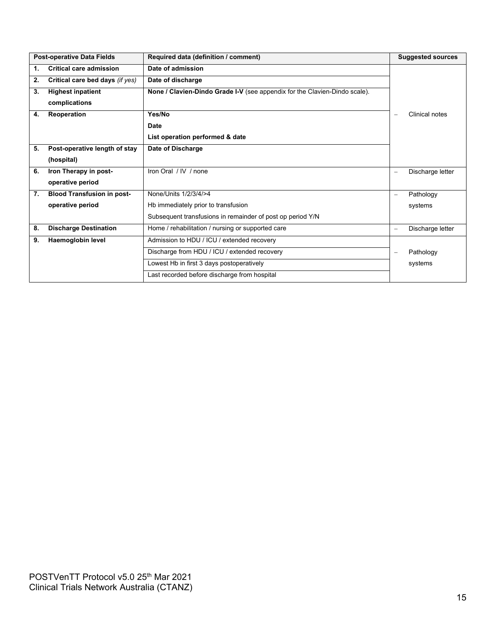|    | <b>Post-operative Data Fields</b> | Required data (definition / comment)                                       |                          | <b>Suggested sources</b> |
|----|-----------------------------------|----------------------------------------------------------------------------|--------------------------|--------------------------|
| 1. | <b>Critical care admission</b>    | Date of admission                                                          |                          |                          |
| 2. | Critical care bed days (if yes)   | Date of discharge                                                          |                          |                          |
| 3. | <b>Highest inpatient</b>          | None / Clavien-Dindo Grade I-V (see appendix for the Clavien-Dindo scale). |                          |                          |
|    | complications                     |                                                                            |                          |                          |
| 4. | <b>Reoperation</b>                | Yes/No                                                                     | $\equiv$                 | Clinical notes           |
|    |                                   | <b>Date</b>                                                                |                          |                          |
|    |                                   | List operation performed & date                                            |                          |                          |
| 5. | Post-operative length of stay     | Date of Discharge                                                          |                          |                          |
|    | (hospital)                        |                                                                            |                          |                          |
| 6. | Iron Therapy in post-             | Iron Oral / IV / none                                                      | $\qquad \qquad \qquad =$ | Discharge letter         |
|    | operative period                  |                                                                            |                          |                          |
| 7. | <b>Blood Transfusion in post-</b> | None/Units 1/2/3/4/>4                                                      | $\overline{\phantom{m}}$ | Pathology                |
|    | operative period                  | Hb immediately prior to transfusion                                        |                          | systems                  |
|    |                                   | Subsequent transfusions in remainder of post op period Y/N                 |                          |                          |
| 8. | <b>Discharge Destination</b>      | Home / rehabilitation / nursing or supported care                          | $\overline{\phantom{m}}$ | Discharge letter         |
| 9. | Haemoglobin level                 | Admission to HDU / ICU / extended recovery                                 |                          |                          |
|    |                                   | Discharge from HDU / ICU / extended recovery                               | $\qquad \qquad \qquad =$ | Pathology                |
|    |                                   | Lowest Hb in first 3 days postoperatively                                  |                          | systems                  |
|    |                                   | Last recorded before discharge from hospital                               |                          |                          |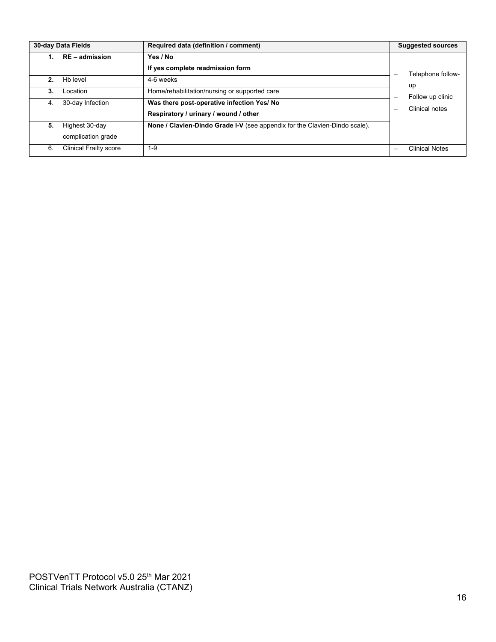| 30-day Data Fields |                                      | Required data (definition / comment)                                                | <b>Suggested sources</b> |
|--------------------|--------------------------------------|-------------------------------------------------------------------------------------|--------------------------|
|                    | RE - admission                       | Yes / No<br>If yes complete readmission form                                        | Telephone follow-        |
| $2_{-}$            | Hb level                             | 4-6 weeks                                                                           | up                       |
| 3.                 | Location                             | Home/rehabilitation/nursing or supported care                                       | Follow up clinic         |
| 4.                 | 30-day Infection                     | Was there post-operative infection Yes/ No<br>Respiratory / urinary / wound / other | Clinical notes<br>-      |
| 5.                 | Highest 30-day<br>complication grade | None / Clavien-Dindo Grade I-V (see appendix for the Clavien-Dindo scale).          |                          |
| 6.                 | <b>Clinical Frailty score</b>        | $1-9$                                                                               | <b>Clinical Notes</b>    |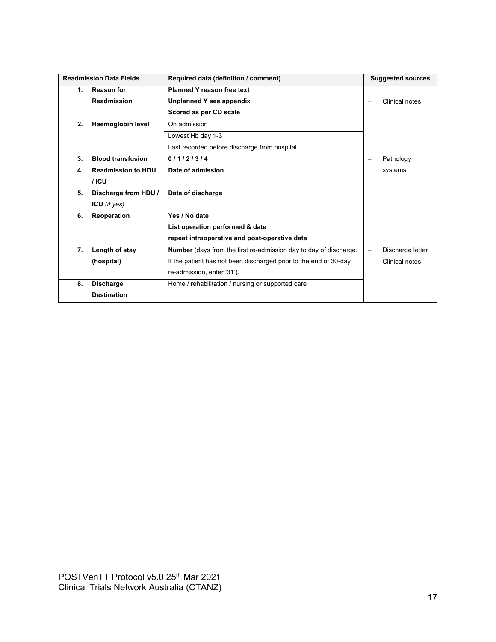| <b>Readmission Data Fields</b> |                           | Required data (definition / comment)                                     | <b>Suggested sources</b>                     |
|--------------------------------|---------------------------|--------------------------------------------------------------------------|----------------------------------------------|
| 1.                             | <b>Reason for</b>         | <b>Planned Y reason free text</b>                                        |                                              |
|                                | <b>Readmission</b>        | Unplanned Y see appendix                                                 | Clinical notes<br>$\overline{\phantom{m}}$   |
|                                |                           | Scored as per CD scale                                                   |                                              |
| 2.                             | Haemoglobin level         | On admission                                                             |                                              |
|                                |                           | Lowest Hb day 1-3                                                        |                                              |
|                                |                           | Last recorded before discharge from hospital                             |                                              |
| 3.                             | <b>Blood transfusion</b>  | 0/1/2/3/4                                                                | Pathology<br>$\overline{\phantom{0}}$        |
| 4.                             | <b>Readmission to HDU</b> | Date of admission                                                        | systems                                      |
|                                | $/$ ICU                   |                                                                          |                                              |
| 5.                             | Discharge from HDU /      | Date of discharge                                                        |                                              |
|                                | ICU (if $yes)$            |                                                                          |                                              |
| 6.                             | Reoperation               | Yes / No date                                                            |                                              |
|                                |                           | List operation performed & date                                          |                                              |
|                                |                           | repeat intraoperative and post-operative data                            |                                              |
| 7.                             | Length of stay            | <b>Number</b> (days from the first re-admission day to day of discharge. | Discharge letter<br>$\overline{\phantom{0}}$ |
|                                | (hospital)                | If the patient has not been discharged prior to the end of 30-day        | Clinical notes<br>$\equiv$                   |
|                                |                           | re-admission, enter '31').                                               |                                              |
| 8.                             | <b>Discharge</b>          | Home / rehabilitation / nursing or supported care                        |                                              |
|                                | <b>Destination</b>        |                                                                          |                                              |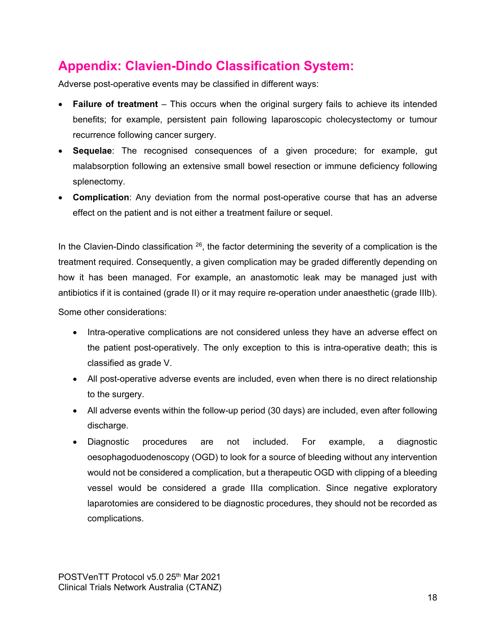## <span id="page-17-0"></span>**Appendix: Clavien-Dindo Classification System:**

Adverse post-operative events may be classified in different ways:

- **Failure of treatment** This occurs when the original surgery fails to achieve its intended benefits; for example, persistent pain following laparoscopic cholecystectomy or tumour recurrence following cancer surgery.
- **Sequelae**: The recognised consequences of a given procedure; for example, gut malabsorption following an extensive small bowel resection or immune deficiency following splenectomy.
- **Complication**: Any deviation from the normal post-operative course that has an adverse effect on the patient and is not either a treatment failure or sequel.

In the Clavien-Dindo classification  $26$ , the factor determining the severity of a complication is the treatment required. Consequently, a given complication may be graded differently depending on how it has been managed. For example, an anastomotic leak may be managed just with antibiotics if it is contained (grade II) or it may require re-operation under anaesthetic (grade IIIb).

Some other considerations:

- Intra-operative complications are not considered unless they have an adverse effect on the patient post-operatively. The only exception to this is intra-operative death; this is classified as grade V.
- All post-operative adverse events are included, even when there is no direct relationship to the surgery.
- All adverse events within the follow-up period (30 days) are included, even after following discharge.
- Diagnostic procedures are not included. For example, a diagnostic oesophagoduodenoscopy (OGD) to look for a source of bleeding without any intervention would not be considered a complication, but a therapeutic OGD with clipping of a bleeding vessel would be considered a grade IIIa complication. Since negative exploratory laparotomies are considered to be diagnostic procedures, they should not be recorded as complications.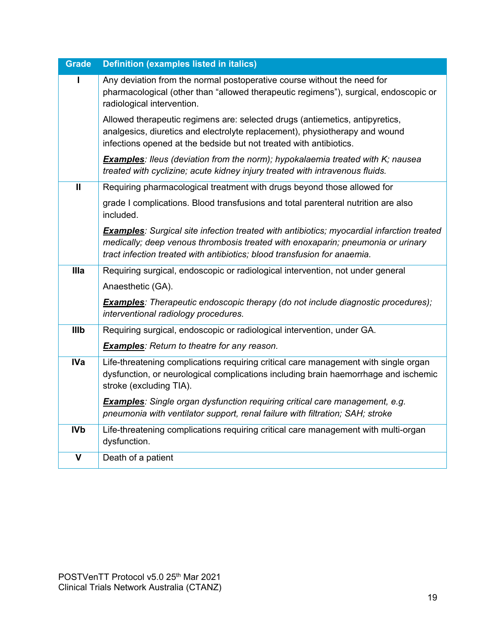| <b>Grade</b> | <b>Definition (examples listed in italics)</b>                                                                                                                                                                                                                  |
|--------------|-----------------------------------------------------------------------------------------------------------------------------------------------------------------------------------------------------------------------------------------------------------------|
|              | Any deviation from the normal postoperative course without the need for<br>pharmacological (other than "allowed therapeutic regimens"), surgical, endoscopic or<br>radiological intervention.                                                                   |
|              | Allowed therapeutic regimens are: selected drugs (antiemetics, antipyretics,<br>analgesics, diuretics and electrolyte replacement), physiotherapy and wound<br>infections opened at the bedside but not treated with antibiotics.                               |
|              | <b>Examples:</b> Ileus (deviation from the norm); hypokalaemia treated with K; nausea<br>treated with cyclizine; acute kidney injury treated with intravenous fluids.                                                                                           |
| $\mathbf{H}$ | Requiring pharmacological treatment with drugs beyond those allowed for                                                                                                                                                                                         |
|              | grade I complications. Blood transfusions and total parenteral nutrition are also<br>included.                                                                                                                                                                  |
|              | <b>Examples:</b> Surgical site infection treated with antibiotics; myocardial infarction treated<br>medically; deep venous thrombosis treated with enoxaparin; pneumonia or urinary<br>tract infection treated with antibiotics; blood transfusion for anaemia. |
| <b>Illa</b>  | Requiring surgical, endoscopic or radiological intervention, not under general                                                                                                                                                                                  |
|              | Anaesthetic (GA).                                                                                                                                                                                                                                               |
|              | <b>Examples:</b> Therapeutic endoscopic therapy (do not include diagnostic procedures);<br>interventional radiology procedures.                                                                                                                                 |
| Illb         | Requiring surgical, endoscopic or radiological intervention, under GA.                                                                                                                                                                                          |
|              | <b>Examples:</b> Return to theatre for any reason.                                                                                                                                                                                                              |
| <b>IVa</b>   | Life-threatening complications requiring critical care management with single organ<br>dysfunction, or neurological complications including brain haemorrhage and ischemic<br>stroke (excluding TIA).                                                           |
|              | <b>Examples:</b> Single organ dysfunction requiring critical care management, e.g.<br>pneumonia with ventilator support, renal failure with filtration; SAH; stroke                                                                                             |
| <b>IVb</b>   | Life-threatening complications requiring critical care management with multi-organ<br>dysfunction.                                                                                                                                                              |
| $\mathbf v$  | Death of a patient                                                                                                                                                                                                                                              |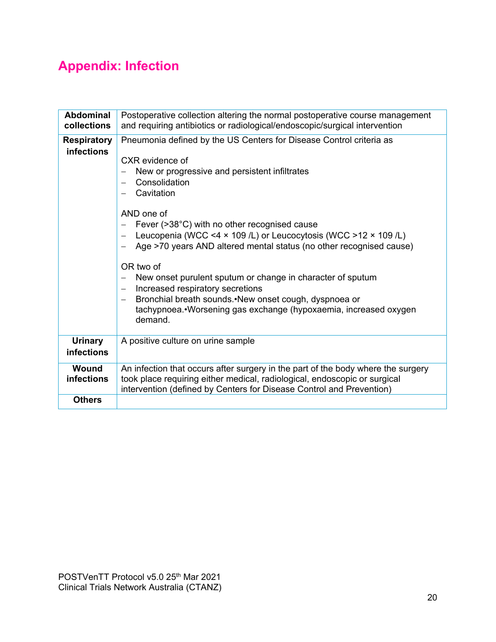## <span id="page-19-0"></span>**Appendix: Infection**

| <b>Abdominal</b><br>collections         | Postoperative collection altering the normal postoperative course management<br>and requiring antibiotics or radiological/endoscopic/surgical intervention                                                                                                                                                                                                                                                                                                                                                                                                                                                                                                                           |
|-----------------------------------------|--------------------------------------------------------------------------------------------------------------------------------------------------------------------------------------------------------------------------------------------------------------------------------------------------------------------------------------------------------------------------------------------------------------------------------------------------------------------------------------------------------------------------------------------------------------------------------------------------------------------------------------------------------------------------------------|
| <b>Respiratory</b><br><b>infections</b> | Pneumonia defined by the US Centers for Disease Control criteria as<br>CXR evidence of<br>New or progressive and persistent infiltrates<br>Consolidation<br>Cavitation<br>AND one of<br>Fever (>38°C) with no other recognised cause<br>Leucopenia (WCC <4 x 109 /L) or Leucocytosis (WCC >12 x 109 /L)<br>$\overline{\phantom{0}}$<br>Age >70 years AND altered mental status (no other recognised cause)<br>$\qquad \qquad -$<br>OR two of<br>New onset purulent sputum or change in character of sputum<br>$\overline{\phantom{0}}$<br>Increased respiratory secretions<br>$\overline{\phantom{0}}$<br>Bronchial breath sounds. New onset cough, dyspnoea or<br>$\qquad \qquad -$ |
|                                         | tachypnoea.•Worsening gas exchange (hypoxaemia, increased oxygen<br>demand.                                                                                                                                                                                                                                                                                                                                                                                                                                                                                                                                                                                                          |
| <b>Urinary</b><br><b>infections</b>     | A positive culture on urine sample                                                                                                                                                                                                                                                                                                                                                                                                                                                                                                                                                                                                                                                   |
| Wound<br>infections                     | An infection that occurs after surgery in the part of the body where the surgery<br>took place requiring either medical, radiological, endoscopic or surgical<br>intervention (defined by Centers for Disease Control and Prevention)                                                                                                                                                                                                                                                                                                                                                                                                                                                |
| <b>Others</b>                           |                                                                                                                                                                                                                                                                                                                                                                                                                                                                                                                                                                                                                                                                                      |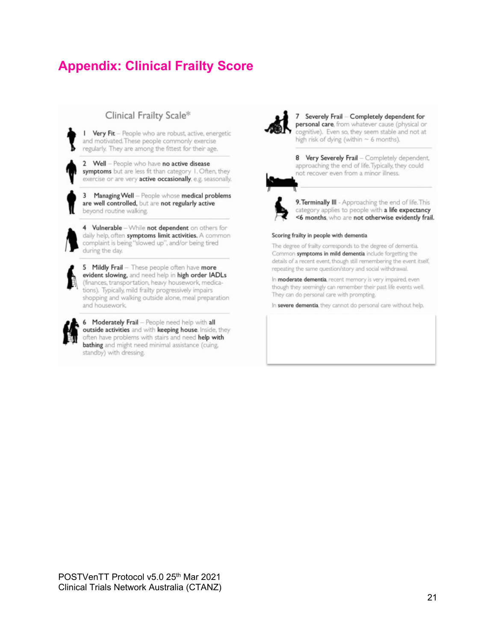## <span id="page-20-0"></span>**Appendix: Clinical Frailty Score**

#### Clinical Frailty Scale\*

I Very Fit - People who are robust, active, energetic and motivated. These people commonly exercise regularly. They are among the fittest for their age.

2 Well - People who have no active disease symptoms but are less fit than category 1. Often, they exercise or are very active occasionally, e.g. seasonally.

3 Managing Well - People whose medical problems are well controlled, but are not regularly active beyond routine walking.

4 Vulnerable - While not dependent on others for daily help, often symptoms limit activities. A common complaint is being "slowed up", and/or being tired during the day.



5 Mildly Frail - These people often have more evident slowing, and need help in high order IADLs (finances, transportation, heavy housework, medications). Typically, mild frailty progressively impairs shopping and walking outside alone, meal preparation and housework.

6 Moderately Frail - People need help with all outside activities and with keeping house. Inside, they often have problems with stairs and need help with bathing and might need minimal assistance (cuing, standby) with dressing.



7 Severely Frail - Completely dependent for personal care, from whatever cause (physical or cognitive). Even so, they seem stable and not at high risk of dying (within  $\sim$  6 months).

8 Very Severely Frail - Completely dependent, approaching the end of life. Typically, they could not recover even from a minor illness.



9. Terminally III - Approaching the end of life. This category applies to people with a life expectancy <6 months, who are not otherwise evidently frail.

#### Scoring frailty in people with dementia

The degree of frailty corresponds to the degree of dementia. Common symptoms in mild dementia include forgetting the details of a recent event, though still remembering the event itself, repeating the same question/story and social withdrawal.

In moderate dementia, recent memory is very impaired, even though they seemingly can remember their past life events well. They can do personal care with prompting.

In severe dementia, they cannot do personal care without help.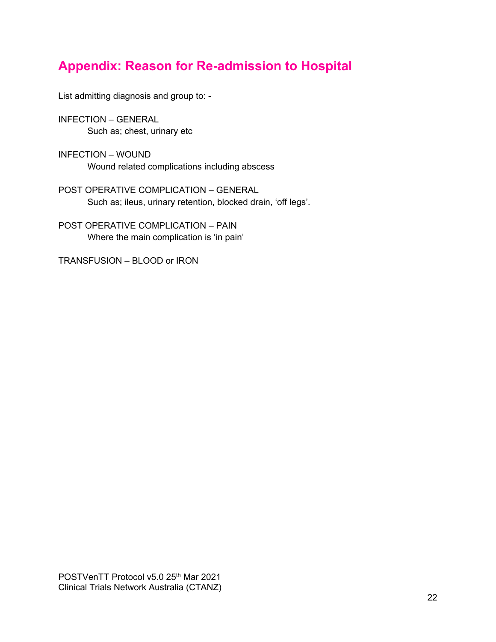## <span id="page-21-0"></span>**Appendix: Reason for Re-admission to Hospital**

List admitting diagnosis and group to: -

INFECTION – GENERAL Such as; chest, urinary etc

INFECTION – WOUND Wound related complications including abscess

POST OPERATIVE COMPLICATION – GENERAL Such as; ileus, urinary retention, blocked drain, 'off legs'.

POST OPERATIVE COMPLICATION – PAIN Where the main complication is 'in pain'

TRANSFUSION – BLOOD or IRON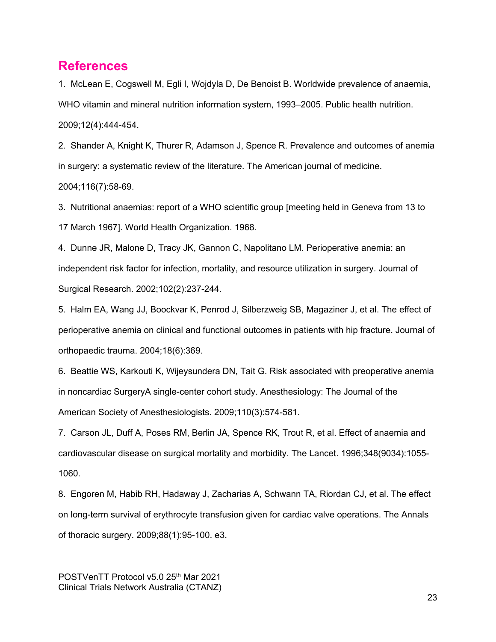#### <span id="page-22-0"></span>**References**

1. McLean E, Cogswell M, Egli I, Wojdyla D, De Benoist B. Worldwide prevalence of anaemia, WHO vitamin and mineral nutrition information system, 1993–2005. Public health nutrition. 2009;12(4):444-454.

2. Shander A, Knight K, Thurer R, Adamson J, Spence R. Prevalence and outcomes of anemia in surgery: a systematic review of the literature. The American journal of medicine. 2004;116(7):58-69.

3. Nutritional anaemias: report of a WHO scientific group [meeting held in Geneva from 13 to 17 March 1967]. World Health Organization. 1968.

4. Dunne JR, Malone D, Tracy JK, Gannon C, Napolitano LM. Perioperative anemia: an independent risk factor for infection, mortality, and resource utilization in surgery. Journal of Surgical Research. 2002;102(2):237-244.

5. Halm EA, Wang JJ, Boockvar K, Penrod J, Silberzweig SB, Magaziner J, et al. The effect of perioperative anemia on clinical and functional outcomes in patients with hip fracture. Journal of orthopaedic trauma. 2004;18(6):369.

6. Beattie WS, Karkouti K, Wijeysundera DN, Tait G. Risk associated with preoperative anemia in noncardiac SurgeryA single-center cohort study. Anesthesiology: The Journal of the American Society of Anesthesiologists. 2009;110(3):574-581.

7. Carson JL, Duff A, Poses RM, Berlin JA, Spence RK, Trout R, et al. Effect of anaemia and cardiovascular disease on surgical mortality and morbidity. The Lancet. 1996;348(9034):1055- 1060.

8. Engoren M, Habib RH, Hadaway J, Zacharias A, Schwann TA, Riordan CJ, et al. The effect on long-term survival of erythrocyte transfusion given for cardiac valve operations. The Annals of thoracic surgery. 2009;88(1):95-100. e3.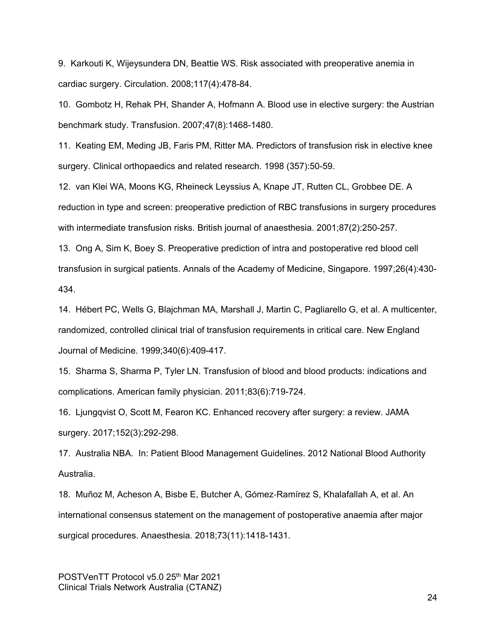9. Karkouti K, Wijeysundera DN, Beattie WS. Risk associated with preoperative anemia in cardiac surgery. Circulation. 2008;117(4):478-84.

10. Gombotz H, Rehak PH, Shander A, Hofmann A. Blood use in elective surgery: the Austrian benchmark study. Transfusion. 2007;47(8):1468-1480.

11. Keating EM, Meding JB, Faris PM, Ritter MA. Predictors of transfusion risk in elective knee surgery. Clinical orthopaedics and related research. 1998 (357):50-59.

12. van Klei WA, Moons KG, Rheineck Leyssius A, Knape JT, Rutten CL, Grobbee DE. A reduction in type and screen: preoperative prediction of RBC transfusions in surgery procedures with intermediate transfusion risks. British journal of anaesthesia. 2001;87(2):250-257.

13. Ong A, Sim K, Boey S. Preoperative prediction of intra and postoperative red blood cell transfusion in surgical patients. Annals of the Academy of Medicine, Singapore. 1997;26(4):430- 434.

14. Hébert PC, Wells G, Blajchman MA, Marshall J, Martin C, Pagliarello G, et al. A multicenter, randomized, controlled clinical trial of transfusion requirements in critical care. New England Journal of Medicine. 1999;340(6):409-417.

15. Sharma S, Sharma P, Tyler LN. Transfusion of blood and blood products: indications and complications. American family physician. 2011;83(6):719-724.

16. Ljungqvist O, Scott M, Fearon KC. Enhanced recovery after surgery: a review. JAMA surgery. 2017;152(3):292-298.

17. Australia NBA. In: Patient Blood Management Guidelines. 2012 National Blood Authority Australia.

18. Muñoz M, Acheson A, Bisbe E, Butcher A, Gómez‐Ramírez S, Khalafallah A, et al. An international consensus statement on the management of postoperative anaemia after major surgical procedures. Anaesthesia. 2018;73(11):1418-1431.